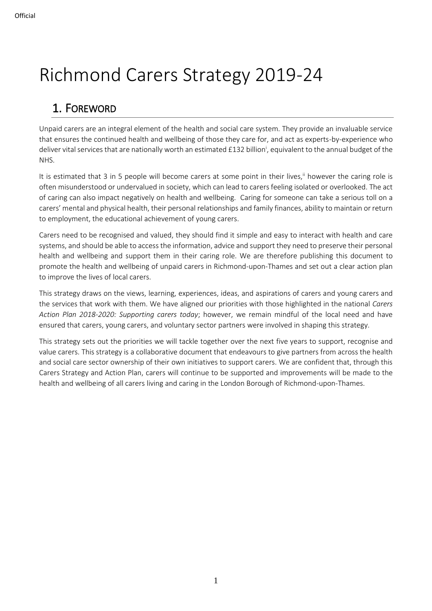# Richmond Carers Strategy 2019-24

# 1. FOREWORD

Unpaid carers are an integral element of the health and social care system. They provide an invaluable service that ensures the continued health and wellbeing of those they care for, and act as experts-by-experience who deliver vital services that are nationally worth an estimated £132 billion<sup>i</sup>, equivalent to the annual budget of the NHS.

It is estimated that 3 in 5 people will become carers at some point in their lives,<sup>ii</sup> however the caring role is often misunderstood or undervalued in society, which can lead to carers feeling isolated or overlooked. The act of caring can also impact negatively on health and wellbeing. Caring for someone can take a serious toll on a carers' mental and physical health, their personal relationships and family finances, ability to maintain or return to employment, the educational achievement of young carers.

Carers need to be recognised and valued, they should find it simple and easy to interact with health and care systems, and should be able to access the information, advice and support they need to preserve their personal health and wellbeing and support them in their caring role. We are therefore publishing this document to promote the health and wellbeing of unpaid carers in Richmond-upon-Thames and set out a clear action plan to improve the lives of local carers.

This strategy draws on the views, learning, experiences, ideas, and aspirations of carers and young carers and the services that work with them. We have aligned our priorities with those highlighted in the national *Carers Action Plan 2018-2020: Supporting carers today*; however, we remain mindful of the local need and have ensured that carers, young carers, and voluntary sector partners were involved in shaping this strategy.

This strategy sets out the priorities we will tackle together over the next five years to support, recognise and value carers. This strategy is a collaborative document that endeavours to give partners from across the health and social care sector ownership of their own initiatives to support carers. We are confident that, through this Carers Strategy and Action Plan, carers will continue to be supported and improvements will be made to the health and wellbeing of all carers living and caring in the London Borough of Richmond-upon-Thames.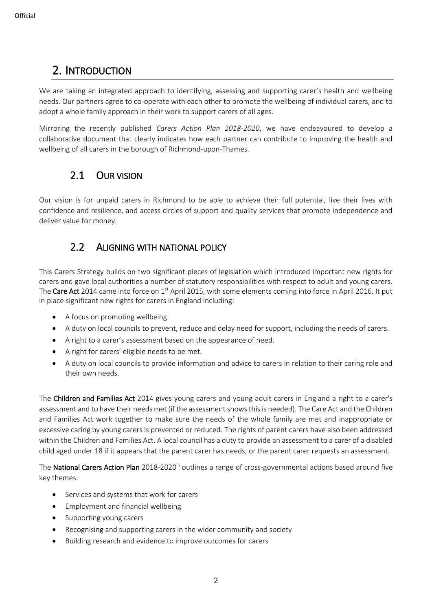# 2. INTRODUCTION

We are taking an integrated approach to identifying, assessing and supporting carer's health and wellbeing needs. Our partners agree to co-operate with each other to promote the wellbeing of individual carers, and to adopt a whole family approach in their work to support carers of all ages.

Mirroring the recently published *Carers Action Plan 2018-2020*, we have endeavoured to develop a collaborative document that clearly indicates how each partner can contribute to improving the health and wellbeing of all carers in the borough of Richmond-upon-Thames.

### 2.1 OUR VISION

Our vision is for unpaid carers in Richmond to be able to achieve their full potential, live their lives with confidence and resilience, and access circles of support and quality services that promote independence and deliver value for money.

### 2.2 ALIGNING WITH NATIONAL POLICY

This Carers Strategy builds on two significant pieces of legislation which introduced important new rights for carers and gave local authorities a number of statutory responsibilities with respect to adult and young carers. The Care Act 2014 came into force on  $1<sup>st</sup>$  April 2015, with some elements coming into force in April 2016. It put in place significant new rights for carers in England including:

- A focus on promoting wellbeing.
- A duty on local councils to prevent, reduce and delay need for support, including the needs of carers.
- A right to a carer's assessment based on the appearance of need.
- A right for carers' eligible needs to be met.
- A duty on local councils to provide information and advice to carers in relation to their caring role and their own needs.

The Children and Families Act 2014 gives young carers and young adult carers in England a right to a carer's assessment and to have their needs met (if the assessment shows this is needed). The Care Act and the Children and Families Act work together to make sure the needs of the whole family are met and inappropriate or excessive caring by young carers is prevented or reduced. The rights of parent carers have also been addressed within the Children and Families Act. A local council has a duty to provide an assessment to a carer of a disabled child aged under 18 if it appears that the parent carer has needs, or the parent carer requests an assessment.

The National Carers Action Plan 2018-2020<sup>iii</sup> outlines a range of cross-governmental actions based around five key themes:

- Services and systems that work for carers
- Employment and financial wellbeing
- Supporting young carers
- Recognising and supporting carers in the wider community and society
- Building research and evidence to improve outcomes for carers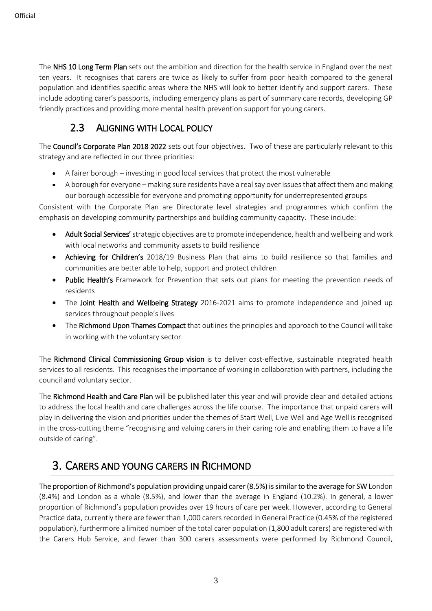**Official** 

The NHS 10 Long Term Plan sets out the ambition and direction for the health service in England over the next ten years. It recognises that carers are twice as likely to suffer from poor health compared to the general population and identifies specific areas where the NHS will look to better identify and support carers. These include adopting carer's passports, including emergency plans as part of summary care records, developing GP friendly practices and providing more mental health prevention support for young carers.

# 2.3 ALIGNING WITH LOCAL POLICY

The Council's Corporate Plan 2018 2022 sets out four objectives. Two of these are particularly relevant to this strategy and are reflected in our three priorities:

- A fairer borough investing in good local services that protect the most vulnerable
- A borough for everyone making sure residents have a real say over issues that affect them and making our borough accessible for everyone and promoting opportunity for underrepresented groups

Consistent with the Corporate Plan are Directorate level strategies and programmes which confirm the emphasis on developing community partnerships and building community capacity. These include:

- Adult Social Services' strategic objectives are to promote independence, health and wellbeing and work with local networks and community assets to build resilience
- Achieving for Children's 2018/19 Business Plan that aims to build resilience so that families and communities are better able to help, support and protect children
- Public Health's Framework for Prevention that sets out plans for meeting the prevention needs of residents
- The Joint Health and Wellbeing Strategy 2016-2021 aims to promote independence and joined up services throughout people's lives
- The Richmond Upon Thames Compact that outlines the principles and approach to the Council will take in working with the voluntary sector

The Richmond Clinical Commissioning Group vision is to deliver cost-effective, sustainable integrated health services to all residents. This recognises the importance of working in collaboration with partners, including the council and voluntary sector.

The Richmond Health and Care Plan will be published later this year and will provide clear and detailed actions to address the local health and care challenges across the life course. The importance that unpaid carers will play in delivering the vision and priorities under the themes of Start Well, Live Well and Age Well is recognised in the cross-cutting theme "recognising and valuing carers in their caring role and enabling them to have a life outside of caring".

# 3. CARERS AND YOUNG CARERS IN RICHMOND

The proportion of Richmond's population providing unpaid carer (8.5%) is similar to the average for SW London (8.4%) and London as a whole (8.5%), and lower than the average in England (10.2%). In general, a lower proportion of Richmond's population provides over 19 hours of care per week. However, according to General Practice data, currently there are fewer than 1,000 carers recorded in General Practice (0.45% of the registered population), furthermore a limited number of the total carer population (1,800 adult carers) are registered with the Carers Hub Service, and fewer than 300 carers assessments were performed by Richmond Council,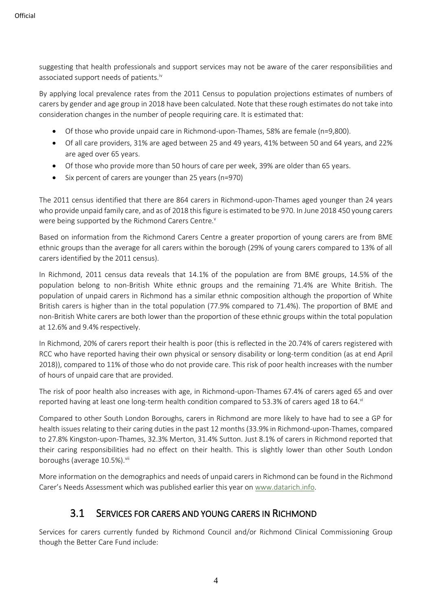suggesting that health professionals and support services may not be aware of the carer responsibilities and associated support needs of patients.<sup>iv</sup>

By applying local prevalence rates from the 2011 Census to population projections estimates of numbers of carers by gender and age group in 2018 have been calculated. Note that these rough estimates do not take into consideration changes in the number of people requiring care. It is estimated that:

- Of those who provide unpaid care in Richmond-upon-Thames, 58% are female (n=9,800).
- Of all care providers, 31% are aged between 25 and 49 years, 41% between 50 and 64 years, and 22% are aged over 65 years.
- Of those who provide more than 50 hours of care per week, 39% are older than 65 years.
- Six percent of carers are younger than 25 years (n=970)

The 2011 census identified that there are 864 carers in Richmond-upon-Thames aged younger than 24 years who provide unpaid family care, and as of 2018 this figure is estimated to be 970. In June 2018 450 young carers were being supported by the Richmond Carers Centre.<sup>v</sup>

Based on information from the Richmond Carers Centre a greater proportion of young carers are from BME ethnic groups than the average for all carers within the borough (29% of young carers compared to 13% of all carers identified by the 2011 census).

In Richmond, 2011 census data reveals that 14.1% of the population are from BME groups, 14.5% of the population belong to non-British White ethnic groups and the remaining 71.4% are White British. The population of unpaid carers in Richmond has a similar ethnic composition although the proportion of White British carers is higher than in the total population (77.9% compared to 71.4%). The proportion of BME and non-British White carers are both lower than the proportion of these ethnic groups within the total population at 12.6% and 9.4% respectively.

In Richmond, 20% of carers report their health is poor (this is reflected in the 20.74% of carers registered with RCC who have reported having their own physical or sensory disability or long-term condition (as at end April 2018)), compared to 11% of those who do not provide care. This risk of poor health increases with the number of hours of unpaid care that are provided.

The risk of poor health also increases with age, in Richmond-upon-Thames 67.4% of carers aged 65 and over reported having at least one long-term health condition compared to 53.3% of carers aged 18 to 64.vi

Compared to other South London Boroughs, carers in Richmond are more likely to have had to see a GP for health issues relating to their caring duties in the past 12 months (33.9% in Richmond-upon-Thames, compared to 27.8% Kingston-upon-Thames, 32.3% Merton, 31.4% Sutton. Just 8.1% of carers in Richmond reported that their caring responsibilities had no effect on their health. This is slightly lower than other South London boroughs (average 10.5%).<sup>vii</sup>

More information on the demographics and needs of unpaid carers in Richmond can be found in the Richmond Carer's Needs Assessment which was published earlier this year on [www.datarich.info.](http://www.datarich.info/)

### 3.1 SERVICES FOR CARERS AND YOUNG CARERS IN RICHMOND

Services for carers currently funded by Richmond Council and/or Richmond Clinical Commissioning Group though the Better Care Fund include: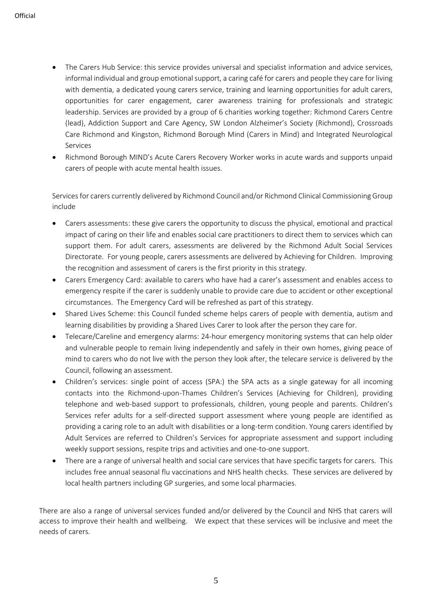- [The Carers Hub Service:](https://www.richmondchs.org/) this service provides universal and specialist information and advice services, informal individual and group emotional support, a caring café for carers and people they care for living with dementia, a dedicated young carers service, training and learning opportunities for adult carers, opportunities for carer engagement, carer awareness training for professionals and strategic leadership. Services are provided by a group of 6 charities working together: Richmond Carers Centre (lead), Addiction Support and Care Agency, SW London Alzheimer's Society (Richmond), Crossroads Care Richmond and Kingston, Richmond Borough Mind (Carers in Mind) and Integrated Neurological Services
- Richmond Borough MIND's Acute Carers Recovery Worker works in acute wards and supports unpaid carers of people with acute mental health issues.

Services for carers currently delivered by Richmond Council and/or Richmond Clinical Commissioning Group include

- [Carers assessments:](http://www.richmond.gov.uk/carers_assessments) these give carers the opportunity to discuss the physical, emotional and practical impact of caring on their life and enables social care practitioners to direct them to services which can support them. For adult carers, assessments are delivered by the Richmond Adult Social Services Directorate. For young people, carers assessments are delivered by Achieving for Children. Improving the recognition and assessment of carers is the first priority in this strategy.
- [Carers Emergency Card](http://www.richmond.gov.uk/home/health_and_social_care/adult_social_care/i_need_help_with/being_a_carer/planning_for_crisis/emergency_help_for_the_person_you_care_for.htm): available to carers who have had a carer's assessment and enables access to emergency respite if the carer is suddenly unable to provide care due to accident or other exceptional circumstances. The Emergency Card will be refreshed as part of this strategy.
- [Shared Lives Scheme:](http://www.richmond.gov.uk/shared_lives) this Council funded scheme helps carers of people with dementia, autism and learning disabilities by providing a Shared Lives Carer to look after the person they care for.
- [Telecare/Careline and emergency alarms:](http://www.richmond.gov.uk/telecare_and_careline_equipment_and_emergency_alarm_systems) 24-hour emergency monitoring systems that can help older and vulnerable people to remain living independently and safely in their own homes, giving peace of mind to carers who do not live with the person they look after, the telecare service is delivered by the Council, following an assessment.
- [Children's services: single point of access \(SPA:\)](http://www.richmond.gov.uk/home/health_and_social_care/children_and_family_care/child_protection.htm) the SPA acts as a single gateway for all incoming contacts into the Richmond-upon-Thames Children's Services (Achieving for Children), providing telephone and web-based support to professionals, children, young people and parents. Children's Services refer adults for a self-directed support assessment where young people are identified as providing a caring role to an adult with disabilities or a long-term condition. Young carers identified by Adult Services are referred to Children's Services for appropriate assessment and support including weekly support sessions, respite trips and activities and one-to-one support.
- There are a range of universal health and social care services that have specific targets for carers. This includes free annual seasonal flu vaccinations and NHS health checks. These services are delivered by local health partners including GP surgeries, and some local pharmacies.

There are also a range of universal services funded and/or delivered by the Council and NHS that carers will access to improve their health and wellbeing. We expect that these services will be inclusive and meet the needs of carers.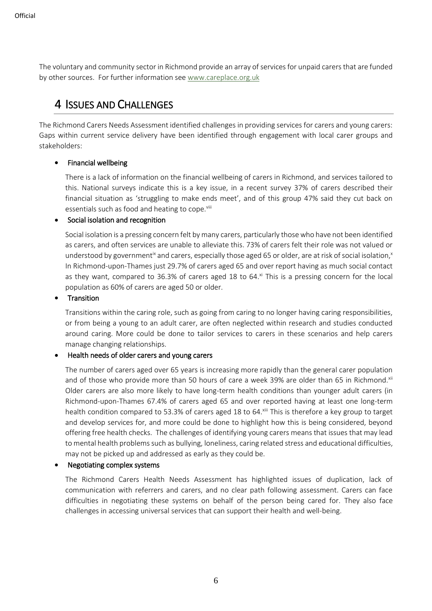The voluntary and community sector in Richmond provide an array of services for unpaid carers that are funded by other sources. For further information se[e www.careplace.org.uk](http://www.careplace.org.uk/)

# 4 ISSUES AND CHALLENGES

The Richmond Carers Needs Assessment identified challenges in providing services for carers and young carers: Gaps within current service delivery have been identified through engagement with local carer groups and stakeholders:

### • Financial wellbeing

There is a lack of information on the financial wellbeing of carers in Richmond, and services tailored to this. National surveys indicate this is a key issue, in a recent survey 37% of carers described their financial situation as 'struggling to make ends meet', and of this group 47% said they cut back on essentials such as food and heating to cope.<sup>viii</sup>

### • Social isolation and recognition

Social isolation is a pressing concern felt by many carers, particularly those who have not been identified as carers, and often services are unable to alleviate this. 73% of carers felt their role was not valued or understood by government<sup>ix</sup> and carers, especially those aged 65 or older, are at risk of social isolation,<sup>x</sup> In Richmond-upon-Thames just 29.7% of carers aged 65 and over report having as much social contact as they want, compared to  $36.3\%$  of carers aged 18 to  $64.\mathrm{N}$  This is a pressing concern for the local population as 60% of carers are aged 50 or older.

#### • Transition

Transitions within the caring role, such as going from caring to no longer having caring responsibilities, or from being a young to an adult carer, are often neglected within research and studies conducted around caring. More could be done to tailor services to carers in these scenarios and help carers manage changing relationships.

### • Health needs of older carers and young carers

The number of carers aged over 65 years is increasing more rapidly than the general carer population and of those who provide more than 50 hours of care a week 39% are older than 65 in Richmond.<sup>xii</sup> Older carers are also more likely to have long-term health conditions than younger adult carers (in Richmond-upon-Thames 67.4% of carers aged 65 and over reported having at least one long-term health condition compared to 53.3% of carers aged 18 to 64.xiii This is therefore a key group to target and develop services for, and more could be done to highlight how this is being considered, beyond offering free health checks. The challenges of identifying young carers means that issues that may lead to mental health problems such as bullying, loneliness, caring related stress and educational difficulties, may not be picked up and addressed as early as they could be.

### • Negotiating complex systems

The Richmond Carers Health Needs Assessment has highlighted issues of duplication, lack of communication with referrers and carers, and no clear path following assessment. Carers can face difficulties in negotiating these systems on behalf of the person being cared for. They also face challenges in accessing universal services that can support their health and well-being.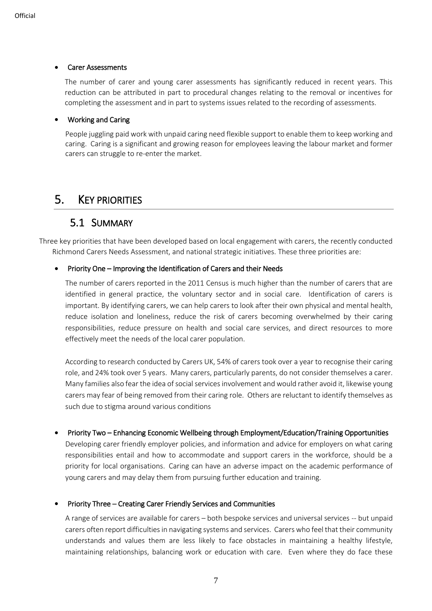#### • Carer Assessments

The number of carer and young carer assessments has significantly reduced in recent years. This reduction can be attributed in part to procedural changes relating to the removal or incentives for completing the assessment and in part to systems issues related to the recording of assessments.

### • Working and Caring

People juggling paid work with unpaid caring need flexible support to enable them to keep working and caring. Caring is a significant and growing reason for employees leaving the labour market and former carers can struggle to re-enter the market.

### 5. KEY PRIORITIES

### 5.1 SUMMARY

Three key priorities that have been developed based on local engagement with carers, the recently conducted Richmond Carers Needs Assessment, and national strategic initiatives. These three priorities are:

### • Priority One – Improving the Identification of Carers and their Needs

The number of carers reported in the 2011 Census is much higher than the number of carers that are identified in general practice, the voluntary sector and in social care. Identification of carers is important. By identifying carers, we can help carers to look after their own physical and mental health, reduce isolation and loneliness, reduce the risk of carers becoming overwhelmed by their caring responsibilities, reduce pressure on health and social care services, and direct resources to more effectively meet the needs of the local carer population.

According to research conducted by Carers UK, 54% of carers took over a year to recognise their caring role, and 24% took over 5 years. Many carers, particularly parents, do not consider themselves a carer. Many families also fear the idea of social services involvement and would rather avoid it, likewise young carers may fear of being removed from their caring role. Others are reluctant to identify themselves as such due to stigma around various conditions

### • Priority Two – Enhancing Economic Wellbeing through Employment/Education/Training Opportunities

Developing carer friendly employer policies, and information and advice for employers on what caring responsibilities entail and how to accommodate and support carers in the workforce, should be a priority for local organisations. Caring can have an adverse impact on the academic performance of young carers and may delay them from pursuing further education and training.

### • Priority Three – Creating Carer Friendly Services and Communities

A range of services are available for carers – both bespoke services and universal services -- but unpaid carers often report difficulties in navigating systems and services. Carers who feel that their community understands and values them are less likely to face obstacles in maintaining a healthy lifestyle, maintaining relationships, balancing work or education with care. Even where they do face these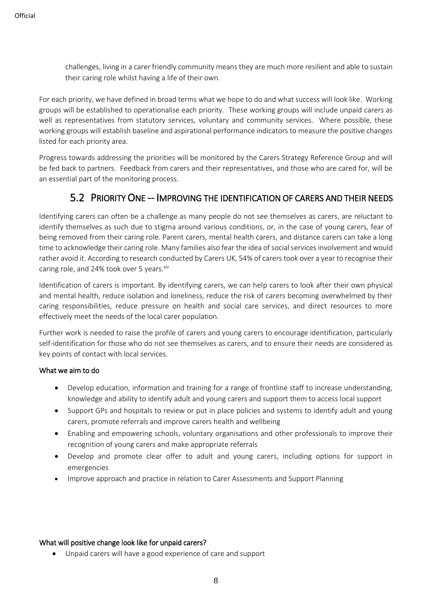challenges, living in a carer friendly community means they are much more resilient and able to sustain their caring role whilst having a life of their own.

For each priority, we have defined in broad terms what we hope to do and what success will look like. Working groups will be established to operationalise each priority. These working groups will include unpaid carers as well as representatives from statutory services, voluntary and community services. Where possible, these working groups will establish baseline and aspirational performance indicators to measure the positive changes listed for each priority area.

Progress towards addressing the priorities will be monitored by the Carers Strategy Reference Group and will be fed back to partners. Feedback from carers and their representatives, and those who are cared for, will be an essential part of the monitoring process.

### 5.2 PRIORITY ONE -- IMPROVING THE IDENTIFICATION OF CARERS AND THEIR NEEDS

Identifying carers can often be a challenge as many people do not see themselves as carers, are reluctant to identify themselves as such due to stigma around various conditions, or, in the case of young carers, fear of being removed from their caring role. Parent carers, mental health carers, and distance carers can take a long time to acknowledge their caring role. Many families also fear the idea of social services involvement and would rather avoid it. According to research conducted by Carers UK, 54% of carers took over a year to recognise their caring role, and 24% took over 5 years. Xiv

Identification of carers is important. By identifying carers, we can help carers to look after their own physical and mental health, reduce isolation and loneliness, reduce the risk of carers becoming overwhelmed by their caring responsibilities, reduce pressure on health and social care services, and direct resources to more effectively meet the needs of the local carer population.

Further work is needed to raise the profile of carers and young carers to encourage identification, particularly self-identification for those who do not see themselves as carers, and to ensure their needs are considered as key points of contact with local services.

### What we aim to do

- Develop education, information and training for a range of frontline staff to increase understanding, knowledge and ability to identify adult and young carers and support them to access local support
- Support GPs and hospitals to review or put in place policies and systems to identify adult and young carers, promote referrals and improve carers health and wellbeing
- Enabling and empowering schools, voluntary organisations and other professionals to improve their recognition of young carers and make appropriate referrals
- Develop and promote clear offer to adult and young carers, including options for support in emergencies
- Improve approach and practice in relation to Carer Assessments and Support Planning

### What will positive change look like for unpaid carers?

• Unpaid carers will have a good experience of care and support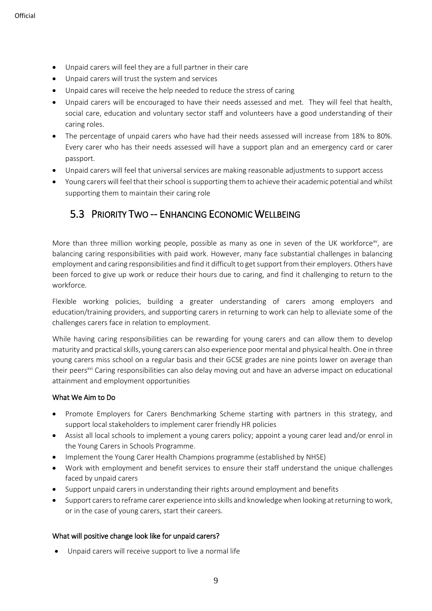- Unpaid carers will feel they are a full partner in their care
- Unpaid carers will trust the system and services
- Unpaid cares will receive the help needed to reduce the stress of caring
- Unpaid carers will be encouraged to have their needs assessed and met. They will feel that health, social care, education and voluntary sector staff and volunteers have a good understanding of their caring roles.
- The percentage of unpaid carers who have had their needs assessed will increase from 18% to 80%. Every carer who has their needs assessed will have a support plan and an emergency card or carer passport.
- Unpaid carers will feel that universal services are making reasonable adjustments to support access
- Young carers will feel that their school is supporting them to achieve their academic potential and whilst supporting them to maintain their caring role

### 5.3 PRIORITY TWO -- ENHANCING ECONOMIC WELLBEING

More than three million working people, possible as many as one in seven of the UK workforce<sup>xy</sup>, are balancing caring responsibilities with paid work. However, many face substantial challenges in balancing employment and caring responsibilities and find it difficult to get support from their employers. Others have been forced to give up work or reduce their hours due to caring, and find it challenging to return to the workforce.

Flexible working policies, building a greater understanding of carers among employers and education/training providers, and supporting carers in returning to work can help to alleviate some of the challenges carers face in relation to employment.

While having caring responsibilities can be rewarding for young carers and can allow them to develop maturity and practical skills, young carers can also experience poor mental and physical health. One in three young carers miss school on a regular basis and their GCSE grades are nine points lower on average than their peersxvi Caring responsibilities can also delay moving out and have an adverse impact on educational attainment and employment opportunities

### What We Aim to Do

- Promote Employers for Carers Benchmarking Scheme starting with partners in this strategy, and support local stakeholders to implement carer friendly HR policies
- Assist all local schools to implement a young carers policy; appoint a young carer lead and/or enrol in the Young Carers in Schools Programme.
- Implement the Young Carer Health Champions programme (established by NHSE)
- Work with employment and benefit services to ensure their staff understand the unique challenges faced by unpaid carers
- Support unpaid carers in understanding their rights around employment and benefits
- Support carers to reframe carer experience into skills and knowledge when looking at returning to work, or in the case of young carers, start their careers.

### What will positive change look like for unpaid carers?

• Unpaid carers will receive support to live a normal life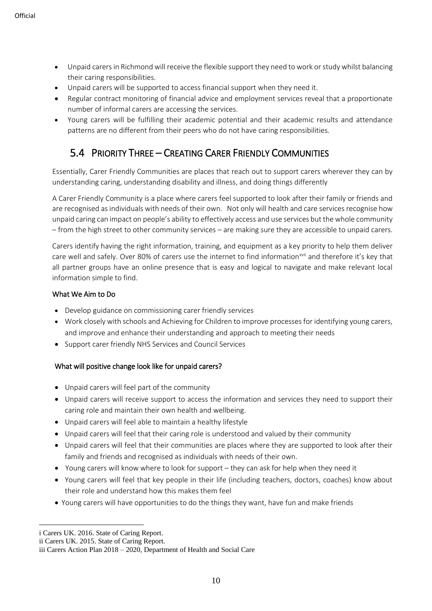- Unpaid carers in Richmond will receive the flexible support they need to work or study whilst balancing their caring responsibilities.
- Unpaid carers will be supported to access financial support when they need it.
- Regular contract monitoring of financial advice and employment services reveal that a proportionate number of informal carers are accessing the services.
- Young carers will be fulfilling their academic potential and their academic results and attendance patterns are no different from their peers who do not have caring responsibilities.

### 5.4 PRIORITY THREE – CREATING CARER FRIENDLY COMMUNITIES

Essentially, Carer Friendly Communities are places that reach out to support carers wherever they can by understanding caring, understanding disability and illness, and doing things differently

A Carer Friendly Community is a place where carers feel supported to look after their family or friends and are recognised as individuals with needs of their own. Not only will health and care services recognise how unpaid caring can impact on people's ability to effectively access and use services but the whole community – from the high street to other community services – are making sure they are accessible to unpaid carers.

Carers identify having the right information, training, and equipment as a key priority to help them deliver care well and safely. Over 80% of carers use the internet to find information<sup>xvii</sup> and therefore it's key that all partner groups have an online presence that is easy and logical to navigate and make relevant local information simple to find.

### What We Aim to Do

- Develop guidance on commissioning carer friendly services
- Work closely with schools and Achieving for Children to improve processes for identifying young carers, and improve and enhance their understanding and approach to meeting their needs
- Support carer friendly NHS Services and Council Services

### What will positive change look like for unpaid carers?

- Unpaid carers will feel part of the community
- Unpaid carers will receive support to access the information and services they need to support their caring role and maintain their own health and wellbeing.
- Unpaid carers will feel able to maintain a healthy lifestyle
- Unpaid carers will feel that their caring role is understood and valued by their community
- Unpaid carers will feel that their communities are places where they are supported to look after their family and friends and recognised as individuals with needs of their own.
- Young carers will know where to look for support they can ask for help when they need it
- Young carers will feel that key people in their life (including teachers, doctors, coaches) know about their role and understand how this makes them feel
- Young carers will have opportunities to do the things they want, have fun and make friends

1

i Carers UK. 2016. State of Caring Report.

ii Carers UK. 2015. State of Caring Report.

iii Carers Action Plan 2018 – 2020, Department of Health and Social Care